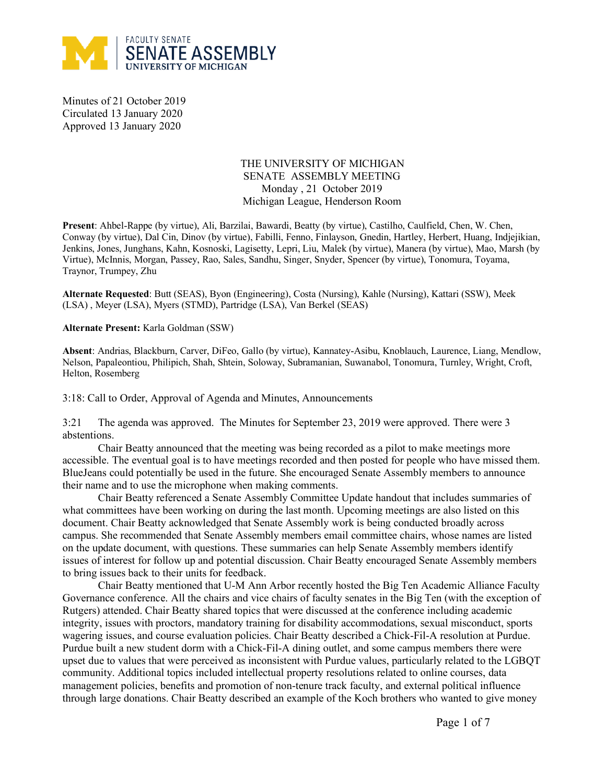

Minutes of 21 October 2019 Circulated 13 January 2020 Approved 13 January 2020

# THE UNIVERSITY OF MICHIGAN SENATE ASSEMBLY MEETING Monday , 21 October 2019 Michigan League, Henderson Room

**Present**: Ahbel-Rappe (by virtue), Ali, Barzilai, Bawardi, Beatty (by virtue), Castilho, Caulfield, Chen, W. Chen, Conway (by virtue), Dal Cin, Dinov (by virtue), Fabilli, Fenno, Finlayson, Gnedin, Hartley, Herbert, Huang, Indjejikian, Jenkins, Jones, Junghans, Kahn, Kosnoski, Lagisetty, Lepri, Liu, Malek (by virtue), Manera (by virtue), Mao, Marsh (by Virtue), McInnis, Morgan, Passey, Rao, Sales, Sandhu, Singer, Snyder, Spencer (by virtue), Tonomura, Toyama, Traynor, Trumpey, Zhu

**Alternate Requested**: Butt (SEAS), Byon (Engineering), Costa (Nursing), Kahle (Nursing), Kattari (SSW), Meek (LSA) , Meyer (LSA), Myers (STMD), Partridge (LSA), Van Berkel (SEAS)

**Alternate Present:** Karla Goldman (SSW)

**Absent**: Andrias, Blackburn, Carver, DiFeo, Gallo (by virtue), Kannatey-Asibu, Knoblauch, Laurence, Liang, Mendlow, Nelson, Papaleontiou, Philipich, Shah, Shtein, Soloway, Subramanian, Suwanabol, Tonomura, Turnley, Wright, Croft, Helton, Rosemberg

3:18: Call to Order, Approval of Agenda and Minutes, Announcements

3:21 The agenda was approved. The Minutes for September 23, 2019 were approved. There were 3 abstentions.

Chair Beatty announced that the meeting was being recorded as a pilot to make meetings more accessible. The eventual goal is to have meetings recorded and then posted for people who have missed them. BlueJeans could potentially be used in the future. She encouraged Senate Assembly members to announce their name and to use the microphone when making comments.

Chair Beatty referenced a Senate Assembly Committee Update handout that includes summaries of what committees have been working on during the last month. Upcoming meetings are also listed on this document. Chair Beatty acknowledged that Senate Assembly work is being conducted broadly across campus. She recommended that Senate Assembly members email committee chairs, whose names are listed on the update document, with questions. These summaries can help Senate Assembly members identify issues of interest for follow up and potential discussion. Chair Beatty encouraged Senate Assembly members to bring issues back to their units for feedback.

Chair Beatty mentioned that U-M Ann Arbor recently hosted the Big Ten Academic Alliance Faculty Governance conference. All the chairs and vice chairs of faculty senates in the Big Ten (with the exception of Rutgers) attended. Chair Beatty shared topics that were discussed at the conference including academic integrity, issues with proctors, mandatory training for disability accommodations, sexual misconduct, sports wagering issues, and course evaluation policies. Chair Beatty described a Chick-Fil-A resolution at Purdue. Purdue built a new student dorm with a Chick-Fil-A dining outlet, and some campus members there were upset due to values that were perceived as inconsistent with Purdue values, particularly related to the LGBQT community. Additional topics included intellectual property resolutions related to online courses, data management policies, benefits and promotion of non-tenure track faculty, and external political influence through large donations. Chair Beatty described an example of the Koch brothers who wanted to give money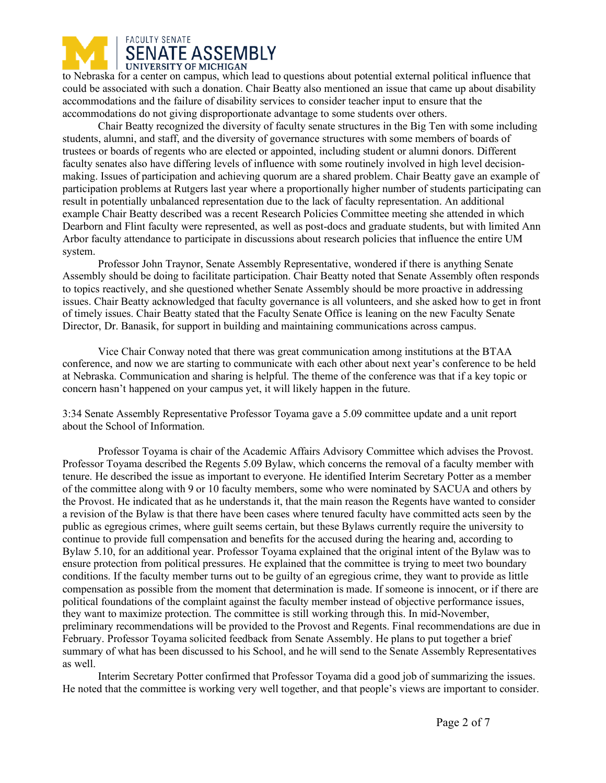

to Nebraska for a center on campus, which lead to questions about potential external political influence that could be associated with such a donation. Chair Beatty also mentioned an issue that came up about disability accommodations and the failure of disability services to consider teacher input to ensure that the accommodations do not giving disproportionate advantage to some students over others.

Chair Beatty recognized the diversity of faculty senate structures in the Big Ten with some including students, alumni, and staff, and the diversity of governance structures with some members of boards of trustees or boards of regents who are elected or appointed, including student or alumni donors. Different faculty senates also have differing levels of influence with some routinely involved in high level decisionmaking. Issues of participation and achieving quorum are a shared problem. Chair Beatty gave an example of participation problems at Rutgers last year where a proportionally higher number of students participating can result in potentially unbalanced representation due to the lack of faculty representation. An additional example Chair Beatty described was a recent Research Policies Committee meeting she attended in which Dearborn and Flint faculty were represented, as well as post-docs and graduate students, but with limited Ann Arbor faculty attendance to participate in discussions about research policies that influence the entire UM system.

Professor John Traynor, Senate Assembly Representative, wondered if there is anything Senate Assembly should be doing to facilitate participation. Chair Beatty noted that Senate Assembly often responds to topics reactively, and she questioned whether Senate Assembly should be more proactive in addressing issues. Chair Beatty acknowledged that faculty governance is all volunteers, and she asked how to get in front of timely issues. Chair Beatty stated that the Faculty Senate Office is leaning on the new Faculty Senate Director, Dr. Banasik, for support in building and maintaining communications across campus.

Vice Chair Conway noted that there was great communication among institutions at the BTAA conference, and now we are starting to communicate with each other about next year's conference to be held at Nebraska. Communication and sharing is helpful. The theme of the conference was that if a key topic or concern hasn't happened on your campus yet, it will likely happen in the future.

3:34 Senate Assembly Representative Professor Toyama gave a 5.09 committee update and a unit report about the School of Information.

Professor Toyama is chair of the Academic Affairs Advisory Committee which advises the Provost. Professor Toyama described the Regents 5.09 Bylaw, which concerns the removal of a faculty member with tenure. He described the issue as important to everyone. He identified Interim Secretary Potter as a member of the committee along with 9 or 10 faculty members, some who were nominated by SACUA and others by the Provost. He indicated that as he understands it, that the main reason the Regents have wanted to consider a revision of the Bylaw is that there have been cases where tenured faculty have committed acts seen by the public as egregious crimes, where guilt seems certain, but these Bylaws currently require the university to continue to provide full compensation and benefits for the accused during the hearing and, according to Bylaw 5.10, for an additional year. Professor Toyama explained that the original intent of the Bylaw was to ensure protection from political pressures. He explained that the committee is trying to meet two boundary conditions. If the faculty member turns out to be guilty of an egregious crime, they want to provide as little compensation as possible from the moment that determination is made. If someone is innocent, or if there are political foundations of the complaint against the faculty member instead of objective performance issues, they want to maximize protection. The committee is still working through this. In mid-November, preliminary recommendations will be provided to the Provost and Regents. Final recommendations are due in February. Professor Toyama solicited feedback from Senate Assembly. He plans to put together a brief summary of what has been discussed to his School, and he will send to the Senate Assembly Representatives as well.

Interim Secretary Potter confirmed that Professor Toyama did a good job of summarizing the issues. He noted that the committee is working very well together, and that people's views are important to consider.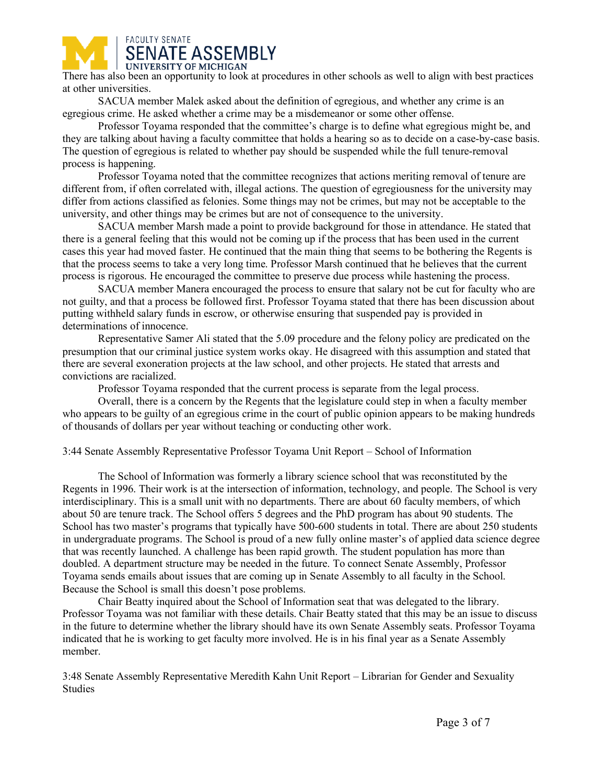

There has also been an opportunity to look at procedures in other schools as well to align with best practices at other universities.

SACUA member Malek asked about the definition of egregious, and whether any crime is an egregious crime. He asked whether a crime may be a misdemeanor or some other offense.

Professor Toyama responded that the committee's charge is to define what egregious might be, and they are talking about having a faculty committee that holds a hearing so as to decide on a case-by-case basis. The question of egregious is related to whether pay should be suspended while the full tenure-removal process is happening.

Professor Toyama noted that the committee recognizes that actions meriting removal of tenure are different from, if often correlated with, illegal actions. The question of egregiousness for the university may differ from actions classified as felonies. Some things may not be crimes, but may not be acceptable to the university, and other things may be crimes but are not of consequence to the university.

SACUA member Marsh made a point to provide background for those in attendance. He stated that there is a general feeling that this would not be coming up if the process that has been used in the current cases this year had moved faster. He continued that the main thing that seems to be bothering the Regents is that the process seems to take a very long time. Professor Marsh continued that he believes that the current process is rigorous. He encouraged the committee to preserve due process while hastening the process.

SACUA member Manera encouraged the process to ensure that salary not be cut for faculty who are not guilty, and that a process be followed first. Professor Toyama stated that there has been discussion about putting withheld salary funds in escrow, or otherwise ensuring that suspended pay is provided in determinations of innocence.

Representative Samer Ali stated that the 5.09 procedure and the felony policy are predicated on the presumption that our criminal justice system works okay. He disagreed with this assumption and stated that there are several exoneration projects at the law school, and other projects. He stated that arrests and convictions are racialized.

Professor Toyama responded that the current process is separate from the legal process.

Overall, there is a concern by the Regents that the legislature could step in when a faculty member who appears to be guilty of an egregious crime in the court of public opinion appears to be making hundreds of thousands of dollars per year without teaching or conducting other work.

3:44 Senate Assembly Representative Professor Toyama Unit Report – School of Information

The School of Information was formerly a library science school that was reconstituted by the Regents in 1996. Their work is at the intersection of information, technology, and people. The School is very interdisciplinary. This is a small unit with no departments. There are about 60 faculty members, of which about 50 are tenure track. The School offers 5 degrees and the PhD program has about 90 students. The School has two master's programs that typically have 500-600 students in total. There are about 250 students in undergraduate programs. The School is proud of a new fully online master's of applied data science degree that was recently launched. A challenge has been rapid growth. The student population has more than doubled. A department structure may be needed in the future. To connect Senate Assembly, Professor Toyama sends emails about issues that are coming up in Senate Assembly to all faculty in the School. Because the School is small this doesn't pose problems.

Chair Beatty inquired about the School of Information seat that was delegated to the library. Professor Toyama was not familiar with these details. Chair Beatty stated that this may be an issue to discuss in the future to determine whether the library should have its own Senate Assembly seats. Professor Toyama indicated that he is working to get faculty more involved. He is in his final year as a Senate Assembly member.

3:48 Senate Assembly Representative Meredith Kahn Unit Report – Librarian for Gender and Sexuality Studies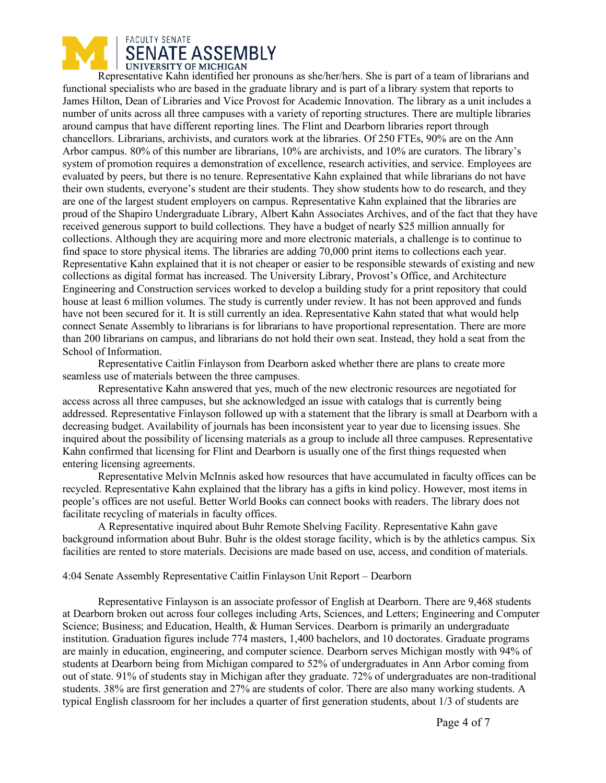

Representative Kahn identified her pronouns as she/her/hers. She is part of a team of librarians and functional specialists who are based in the graduate library and is part of a library system that reports to James Hilton, Dean of Libraries and Vice Provost for Academic Innovation. The library as a unit includes a number of units across all three campuses with a variety of reporting structures. There are multiple libraries around campus that have different reporting lines. The Flint and Dearborn libraries report through chancellors. Librarians, archivists, and curators work at the libraries. Of 250 FTEs, 90% are on the Ann Arbor campus. 80% of this number are librarians, 10% are archivists, and 10% are curators. The library's system of promotion requires a demonstration of excellence, research activities, and service. Employees are evaluated by peers, but there is no tenure. Representative Kahn explained that while librarians do not have their own students, everyone's student are their students. They show students how to do research, and they are one of the largest student employers on campus. Representative Kahn explained that the libraries are proud of the Shapiro Undergraduate Library, Albert Kahn Associates Archives, and of the fact that they have received generous support to build collections. They have a budget of nearly \$25 million annually for collections. Although they are acquiring more and more electronic materials, a challenge is to continue to find space to store physical items. The libraries are adding 70,000 print items to collections each year. Representative Kahn explained that it is not cheaper or easier to be responsible stewards of existing and new collections as digital format has increased. The University Library, Provost's Office, and Architecture Engineering and Construction services worked to develop a building study for a print repository that could house at least 6 million volumes. The study is currently under review. It has not been approved and funds have not been secured for it. It is still currently an idea. Representative Kahn stated that what would help connect Senate Assembly to librarians is for librarians to have proportional representation. There are more than 200 librarians on campus, and librarians do not hold their own seat. Instead, they hold a seat from the School of Information.

Representative Caitlin Finlayson from Dearborn asked whether there are plans to create more seamless use of materials between the three campuses.

Representative Kahn answered that yes, much of the new electronic resources are negotiated for access across all three campuses, but she acknowledged an issue with catalogs that is currently being addressed. Representative Finlayson followed up with a statement that the library is small at Dearborn with a decreasing budget. Availability of journals has been inconsistent year to year due to licensing issues. She inquired about the possibility of licensing materials as a group to include all three campuses. Representative Kahn confirmed that licensing for Flint and Dearborn is usually one of the first things requested when entering licensing agreements.

Representative Melvin McInnis asked how resources that have accumulated in faculty offices can be recycled. Representative Kahn explained that the library has a gifts in kind policy. However, most items in people's offices are not useful. Better World Books can connect books with readers. The library does not facilitate recycling of materials in faculty offices.

A Representative inquired about Buhr Remote Shelving Facility. Representative Kahn gave background information about Buhr. Buhr is the oldest storage facility, which is by the athletics campus. Six facilities are rented to store materials. Decisions are made based on use, access, and condition of materials.

### 4:04 Senate Assembly Representative Caitlin Finlayson Unit Report – Dearborn

Representative Finlayson is an associate professor of English at Dearborn. There are 9,468 students at Dearborn broken out across four colleges including Arts, Sciences, and Letters; Engineering and Computer Science; Business; and Education, Health, & Human Services. Dearborn is primarily an undergraduate institution. Graduation figures include 774 masters, 1,400 bachelors, and 10 doctorates. Graduate programs are mainly in education, engineering, and computer science. Dearborn serves Michigan mostly with 94% of students at Dearborn being from Michigan compared to 52% of undergraduates in Ann Arbor coming from out of state. 91% of students stay in Michigan after they graduate. 72% of undergraduates are non-traditional students. 38% are first generation and 27% are students of color. There are also many working students. A typical English classroom for her includes a quarter of first generation students, about 1/3 of students are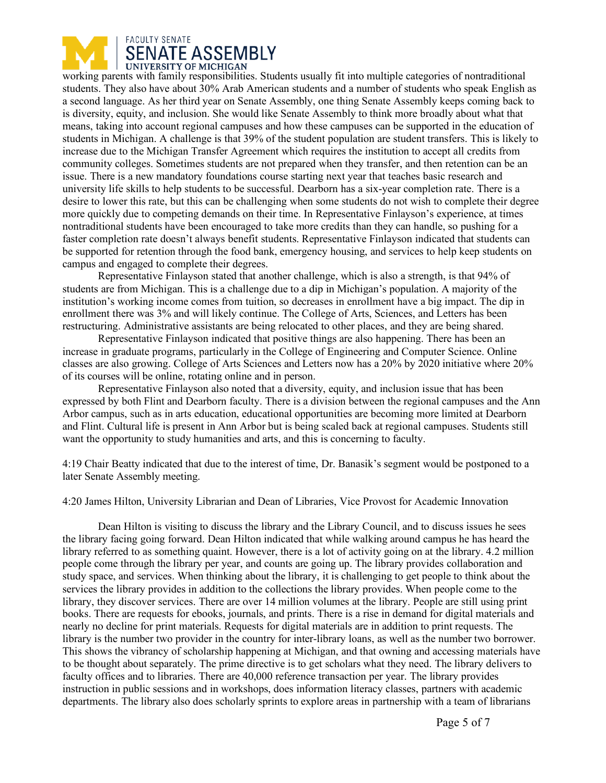

working parents with family responsibilities. Students usually fit into multiple categories of nontraditional students. They also have about 30% Arab American students and a number of students who speak English as a second language. As her third year on Senate Assembly, one thing Senate Assembly keeps coming back to is diversity, equity, and inclusion. She would like Senate Assembly to think more broadly about what that means, taking into account regional campuses and how these campuses can be supported in the education of students in Michigan. A challenge is that 39% of the student population are student transfers. This is likely to increase due to the Michigan Transfer Agreement which requires the institution to accept all credits from community colleges. Sometimes students are not prepared when they transfer, and then retention can be an issue. There is a new mandatory foundations course starting next year that teaches basic research and university life skills to help students to be successful. Dearborn has a six-year completion rate. There is a desire to lower this rate, but this can be challenging when some students do not wish to complete their degree more quickly due to competing demands on their time. In Representative Finlayson's experience, at times nontraditional students have been encouraged to take more credits than they can handle, so pushing for a faster completion rate doesn't always benefit students. Representative Finlayson indicated that students can be supported for retention through the food bank, emergency housing, and services to help keep students on campus and engaged to complete their degrees.

Representative Finlayson stated that another challenge, which is also a strength, is that 94% of students are from Michigan. This is a challenge due to a dip in Michigan's population. A majority of the institution's working income comes from tuition, so decreases in enrollment have a big impact. The dip in enrollment there was 3% and will likely continue. The College of Arts, Sciences, and Letters has been restructuring. Administrative assistants are being relocated to other places, and they are being shared.

Representative Finlayson indicated that positive things are also happening. There has been an increase in graduate programs, particularly in the College of Engineering and Computer Science. Online classes are also growing. College of Arts Sciences and Letters now has a 20% by 2020 initiative where 20% of its courses will be online, rotating online and in person.

Representative Finlayson also noted that a diversity, equity, and inclusion issue that has been expressed by both Flint and Dearborn faculty. There is a division between the regional campuses and the Ann Arbor campus, such as in arts education, educational opportunities are becoming more limited at Dearborn and Flint. Cultural life is present in Ann Arbor but is being scaled back at regional campuses. Students still want the opportunity to study humanities and arts, and this is concerning to faculty.

4:19 Chair Beatty indicated that due to the interest of time, Dr. Banasik's segment would be postponed to a later Senate Assembly meeting.

4:20 James Hilton, University Librarian and Dean of Libraries, Vice Provost for Academic Innovation

Dean Hilton is visiting to discuss the library and the Library Council, and to discuss issues he sees the library facing going forward. Dean Hilton indicated that while walking around campus he has heard the library referred to as something quaint. However, there is a lot of activity going on at the library. 4.2 million people come through the library per year, and counts are going up. The library provides collaboration and study space, and services. When thinking about the library, it is challenging to get people to think about the services the library provides in addition to the collections the library provides. When people come to the library, they discover services. There are over 14 million volumes at the library. People are still using print books. There are requests for ebooks, journals, and prints. There is a rise in demand for digital materials and nearly no decline for print materials. Requests for digital materials are in addition to print requests. The library is the number two provider in the country for inter-library loans, as well as the number two borrower. This shows the vibrancy of scholarship happening at Michigan, and that owning and accessing materials have to be thought about separately. The prime directive is to get scholars what they need. The library delivers to faculty offices and to libraries. There are 40,000 reference transaction per year. The library provides instruction in public sessions and in workshops, does information literacy classes, partners with academic departments. The library also does scholarly sprints to explore areas in partnership with a team of librarians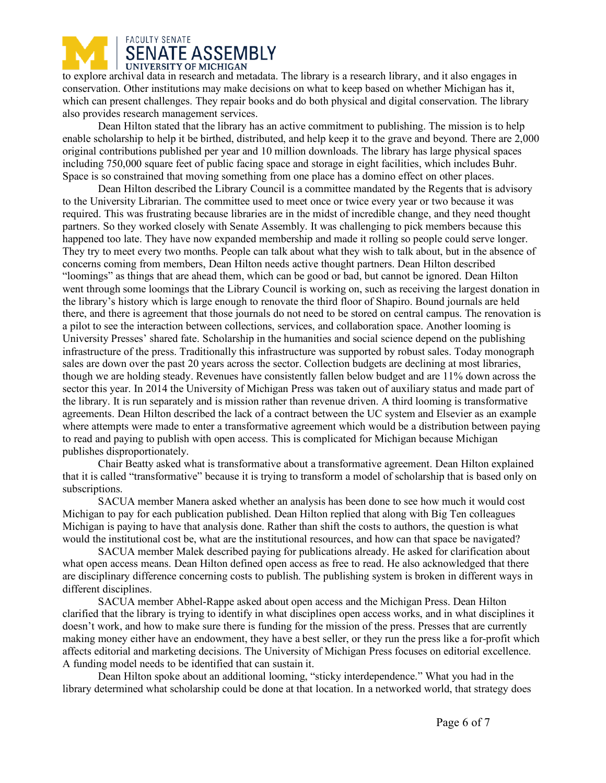

to explore archival data in research and metadata. The library is a research library, and it also engages in conservation. Other institutions may make decisions on what to keep based on whether Michigan has it, which can present challenges. They repair books and do both physical and digital conservation. The library also provides research management services.

Dean Hilton stated that the library has an active commitment to publishing. The mission is to help enable scholarship to help it be birthed, distributed, and help keep it to the grave and beyond. There are 2,000 original contributions published per year and 10 million downloads. The library has large physical spaces including 750,000 square feet of public facing space and storage in eight facilities, which includes Buhr. Space is so constrained that moving something from one place has a domino effect on other places.

Dean Hilton described the Library Council is a committee mandated by the Regents that is advisory to the University Librarian. The committee used to meet once or twice every year or two because it was required. This was frustrating because libraries are in the midst of incredible change, and they need thought partners. So they worked closely with Senate Assembly. It was challenging to pick members because this happened too late. They have now expanded membership and made it rolling so people could serve longer. They try to meet every two months. People can talk about what they wish to talk about, but in the absence of concerns coming from members, Dean Hilton needs active thought partners. Dean Hilton described "loomings" as things that are ahead them, which can be good or bad, but cannot be ignored. Dean Hilton went through some loomings that the Library Council is working on, such as receiving the largest donation in the library's history which is large enough to renovate the third floor of Shapiro. Bound journals are held there, and there is agreement that those journals do not need to be stored on central campus. The renovation is a pilot to see the interaction between collections, services, and collaboration space. Another looming is University Presses' shared fate. Scholarship in the humanities and social science depend on the publishing infrastructure of the press. Traditionally this infrastructure was supported by robust sales. Today monograph sales are down over the past 20 years across the sector. Collection budgets are declining at most libraries, though we are holding steady. Revenues have consistently fallen below budget and are 11% down across the sector this year. In 2014 the University of Michigan Press was taken out of auxiliary status and made part of the library. It is run separately and is mission rather than revenue driven. A third looming is transformative agreements. Dean Hilton described the lack of a contract between the UC system and Elsevier as an example where attempts were made to enter a transformative agreement which would be a distribution between paying to read and paying to publish with open access. This is complicated for Michigan because Michigan publishes disproportionately.

Chair Beatty asked what is transformative about a transformative agreement. Dean Hilton explained that it is called "transformative" because it is trying to transform a model of scholarship that is based only on subscriptions.

SACUA member Manera asked whether an analysis has been done to see how much it would cost Michigan to pay for each publication published. Dean Hilton replied that along with Big Ten colleagues Michigan is paying to have that analysis done. Rather than shift the costs to authors, the question is what would the institutional cost be, what are the institutional resources, and how can that space be navigated?

SACUA member Malek described paying for publications already. He asked for clarification about what open access means. Dean Hilton defined open access as free to read. He also acknowledged that there are disciplinary difference concerning costs to publish. The publishing system is broken in different ways in different disciplines.

SACUA member Abhel-Rappe asked about open access and the Michigan Press. Dean Hilton clarified that the library is trying to identify in what disciplines open access works, and in what disciplines it doesn't work, and how to make sure there is funding for the mission of the press. Presses that are currently making money either have an endowment, they have a best seller, or they run the press like a for-profit which affects editorial and marketing decisions. The University of Michigan Press focuses on editorial excellence. A funding model needs to be identified that can sustain it.

Dean Hilton spoke about an additional looming, "sticky interdependence." What you had in the library determined what scholarship could be done at that location. In a networked world, that strategy does